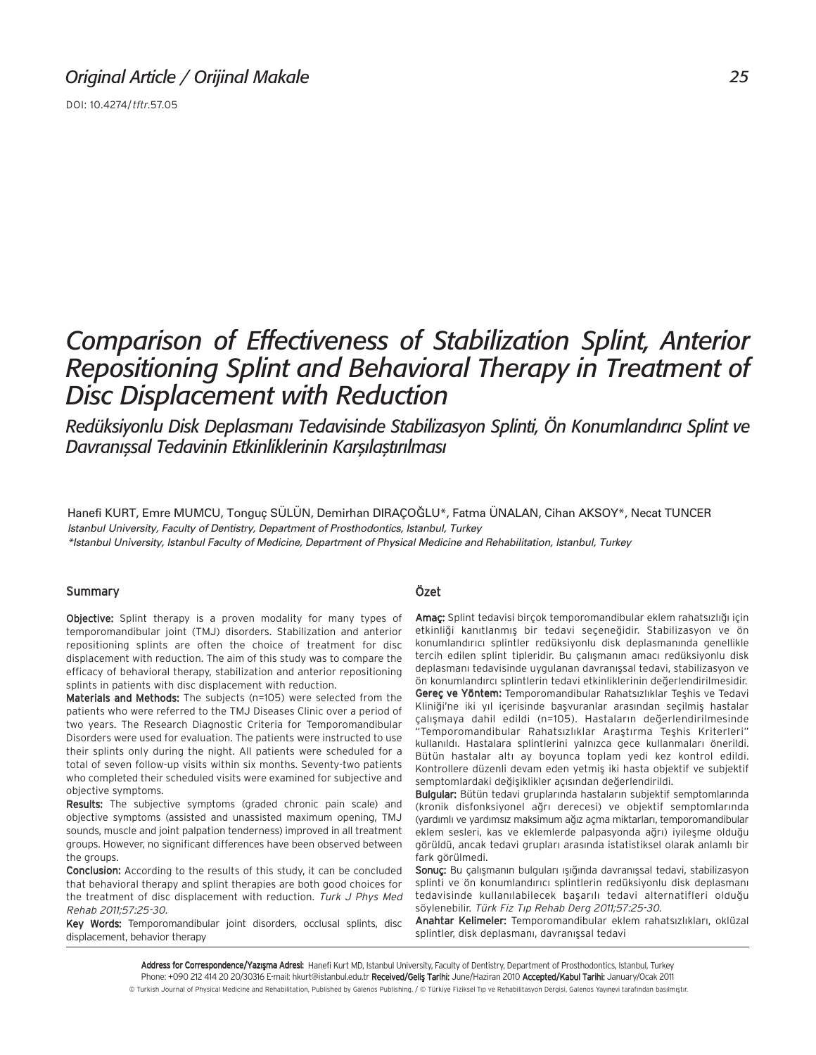DOI: 10.4274/tftr.57.05

# *Comparison of Effectiveness of Stabilization Splint, Anterior Repositioning Splint and Behavioral Therapy in Treatment of Disc Displacement with Reduction*

Redüksiyonlu Disk Deplasmanı Tedavisinde Stabilizasyon Splinti, Ön Konumlandırıcı Splint ve *Davranıssal Tedavinin Etkinliklerinin Karşılaştırılması* 

Hanefi KURT, Emre MUMCU, Tonguç SÜLÜN, Demirhan DIRAÇOĞLU\*, Fatma ÜNALAN, Cihan AKSOY\*, Necat TUNCER *Istanbul University, Faculty of Dentistry, Department of Prosthodontics, Istanbul, Turkey \*Istanbul University, Istanbul Faculty of Medicine, Department of Physical Medicine and Rehabilitation, Istanbul, Turkey*

## Summary

Objective: Splint therapy is a proven modality for many types of temporomandibular joint (TMJ) disorders. Stabilization and anterior repositioning splints are often the choice of treatment for disc displacement with reduction. The aim of this study was to compare the efficacy of behavioral therapy, stabilization and anterior repositioning splints in patients with disc displacement with reduction.

Materials and Methods: The subjects (n=105) were selected from the patients who were referred to the TMJ Diseases Clinic over a period of two years. The Research Diagnostic Criteria for Temporomandibular Disorders were used for evaluation. The patients were instructed to use their splints only during the night. All patients were scheduled for a total of seven follow-up visits within six months. Seventy-two patients who completed their scheduled visits were examined for subjective and objective symptoms.

Results: The subjective symptoms (graded chronic pain scale) and objective symptoms (assisted and unassisted maximum opening, TMJ sounds, muscle and joint palpation tenderness) improved in all treatment groups. However, no significant differences have been observed between the groups.

Conclusion: According to the results of this study, it can be concluded that behavioral therapy and splint therapies are both good choices for the treatment of disc displacement with reduction. Turk J Phys Med Rehab 2011;57:25-30.

Key Words: Temporomandibular joint disorders, occlusal splints, disc displacement, behavior therapy

# Özet

Amaç: Splint tedavisi birçok temporomandibular eklem rahatsızlığı için etkinliği kanıtlanmış bir tedavi seçeneğidir. Stabilizasyon ve ön konumlandırıcı splintler redüksiyonlu disk deplasmanında genellikle tercih edilen splint tipleridir. Bu çalışmanın amacı redüksiyonlu disk deplasmanı tedavisinde uygulanan davranışsal tedavi, stabilizasyon ve ön konumlandırcı splintlerin tedavi etkinliklerinin değerlendirilmesidir. Gerec ve Yöntem: Temporomandibular Rahatsızlıklar Teshis ve Tedavi Kliniği'ne iki yıl içerisinde başvuranlar arasından seçilmiş hastalar çalışmaya dahil edildi (n=105). Hastaların değerlendirilmesinde Temporomandibular Rahatsızlıklar Arastırma Teshis Kriterleri" kullanıldı. Hastalara splintlerini yalnızca gece kullanmaları önerildi. Bütün hastalar altı ay boyunca toplam yedi kez kontrol edildi. Kontrollere düzenli devam eden yetmiş iki hasta objektif ve subjektif semptomlardaki değişiklikler açısından değerlendirildi.

Bulgular: Bütün tedavi gruplarında hastaların subjektif semptomlarında (kronik disfonksiyonel ağrı derecesi) ve objektif semptomlarında (yardımlı ve yardımsız maksimum ağız açma miktarları, temporomandibular eklem sesleri, kas ve eklemlerde palpasyonda ağrı) iyileşme olduğu görüldü, ancak tedavi grupları arasında istatistiksel olarak anlamlı bir fark görülmedi.

Sonuç: Bu çalışmanın bulguları ışığında davranışsal tedavi, stabilizasyon splinti ve ön konumlandırıcı splintlerin redüksiyonlu disk deplasmanı tedavisinde kullanılabilecek başarılı tedavi alternatifleri olduğu söylenebilir. Türk Fiz Tıp Rehab Derg 2011;57:25-30.

Anahtar Kelimeler: Temporomandibular eklem rahatsızlıkları, oklüzal splintler, disk deplasmanı, davranışsal tedavi

Address for Correspondence/Yazışma Adresi: Hanefi Kurt MD, Istanbul University, Faculty of Dentistry, Department of Prosthodontics, Istanbul, Turkey Phone: +090 212 414 20 20/30316 E-mail: hkurt@istanbul.edu.tr Received/Geliş Tarihi: June/Haziran 2010 Accepted/Kabul Tarihi: January/Ocak 2011 © Turkish Journal of Physical Medicine and Rehabilitation, Published by Galenos Publishing. / © Türkiye Fiziksel Tıp ve Rehabilitasyon Dergisi, Galenos Yayınevi tarafından basılmıştır.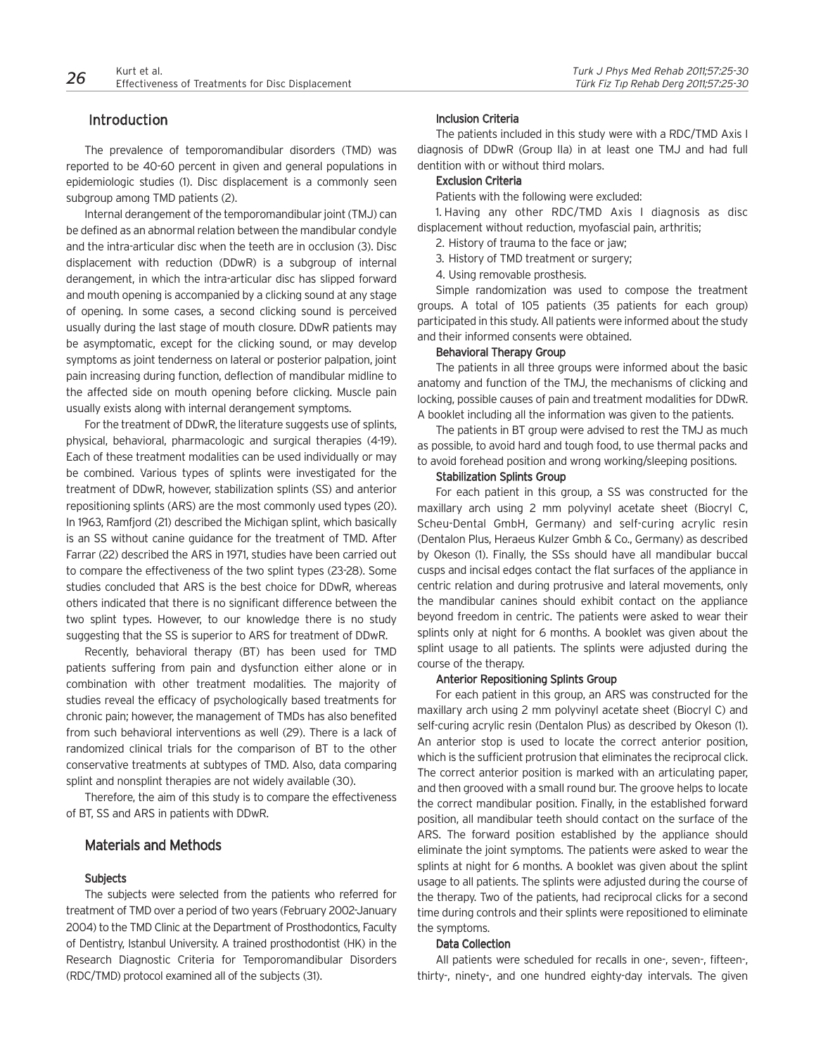# **Introduction**

The prevalence of temporomandibular disorders (TMD) was reported to be 40-60 percent in given and general populations in epidemiologic studies (1). Disc displacement is a commonly seen subgroup among TMD patients (2).

Internal derangement of the temporomandibular joint (TMJ) can be defined as an abnormal relation between the mandibular condyle and the intra-articular disc when the teeth are in occlusion (3). Disc displacement with reduction (DDwR) is a subgroup of internal derangement, in which the intra-articular disc has slipped forward and mouth opening is accompanied by a clicking sound at any stage of opening. In some cases, a second clicking sound is perceived usually during the last stage of mouth closure. DDwR patients may be asymptomatic, except for the clicking sound, or may develop symptoms as joint tenderness on lateral or posterior palpation, joint pain increasing during function, deflection of mandibular midline to the affected side on mouth opening before clicking. Muscle pain usually exists along with internal derangement symptoms.

For the treatment of DDwR, the literature suggests use of splints, physical, behavioral, pharmacologic and surgical therapies (4-19). Each of these treatment modalities can be used individually or may be combined. Various types of splints were investigated for the treatment of DDwR, however, stabilization splints (SS) and anterior repositioning splints (ARS) are the most commonly used types (20). In 1963, Ramfjord (21) described the Michigan splint, which basically is an SS without canine guidance for the treatment of TMD. After Farrar (22) described the ARS in 1971, studies have been carried out to compare the effectiveness of the two splint types (23-28). Some studies concluded that ARS is the best choice for DDwR, whereas others indicated that there is no significant difference between the two splint types. However, to our knowledge there is no study suggesting that the SS is superior to ARS for treatment of DDwR.

Recently, behavioral therapy (BT) has been used for TMD patients suffering from pain and dysfunction either alone or in combination with other treatment modalities. The majority of studies reveal the efficacy of psychologically based treatments for chronic pain; however, the management of TMDs has also benefited from such behavioral interventions as well (29). There is a lack of randomized clinical trials for the comparison of BT to the other conservative treatments at subtypes of TMD. Also, data comparing splint and nonsplint therapies are not widely available (30).

Therefore, the aim of this study is to compare the effectiveness of BT, SS and ARS in patients with DDwR.

# Materials and Methods

#### Subjects

The subjects were selected from the patients who referred for treatment of TMD over a period of two years (February 2002-January 2004) to the TMD Clinic at the Department of Prosthodontics, Faculty of Dentistry, Istanbul University. A trained prosthodontist (HK) in the Research Diagnostic Criteria for Temporomandibular Disorders (RDC/TMD) protocol examined all of the subjects (31).

#### Inclusion Criteria

The patients included in this study were with a RDC/TMD Axis I diagnosis of DDwR (Group IIa) in at least one TMJ and had full dentition with or without third molars.

## Exclusion Criteria

Patients with the following were excluded:

1. Having any other RDC/TMD Axis I diagnosis as disc displacement without reduction, myofascial pain, arthritis;

- 2. History of trauma to the face or jaw;
- 3. History of TMD treatment or surgery;
- 4. Using removable prosthesis.

Simple randomization was used to compose the treatment groups. A total of 105 patients (35 patients for each group) participated in this study. All patients were informed about the study and their informed consents were obtained.

#### Behavioral Therapy Group

The patients in all three groups were informed about the basic anatomy and function of the TMJ, the mechanisms of clicking and locking, possible causes of pain and treatment modalities for DDwR. A booklet including all the information was given to the patients.

The patients in BT group were advised to rest the TMJ as much as possible, to avoid hard and tough food, to use thermal packs and to avoid forehead position and wrong working/sleeping positions.

#### Stabilization Splints Group

For each patient in this group, a SS was constructed for the maxillary arch using 2 mm polyvinyl acetate sheet (Biocryl C, Scheu-Dental GmbH, Germany) and self-curing acrylic resin (Dentalon Plus, Heraeus Kulzer Gmbh & Co., Germany) as described by Okeson (1). Finally, the SSs should have all mandibular buccal cusps and incisal edges contact the flat surfaces of the appliance in centric relation and during protrusive and lateral movements, only the mandibular canines should exhibit contact on the appliance beyond freedom in centric. The patients were asked to wear their splints only at night for 6 months. A booklet was given about the splint usage to all patients. The splints were adjusted during the course of the therapy.

#### Anterior Repositioning Splints Group

For each patient in this group, an ARS was constructed for the maxillary arch using 2 mm polyvinyl acetate sheet (Biocryl C) and self-curing acrylic resin (Dentalon Plus) as described by Okeson (1). An anterior stop is used to locate the correct anterior position, which is the sufficient protrusion that eliminates the reciprocal click. The correct anterior position is marked with an articulating paper, and then grooved with a small round bur. The groove helps to locate the correct mandibular position. Finally, in the established forward position, all mandibular teeth should contact on the surface of the ARS. The forward position established by the appliance should eliminate the joint symptoms. The patients were asked to wear the splints at night for 6 months. A booklet was given about the splint usage to all patients. The splints were adjusted during the course of the therapy. Two of the patients, had reciprocal clicks for a second time during controls and their splints were repositioned to eliminate the symptoms.

#### Data Collection

All patients were scheduled for recalls in one-, seven-, fifteen-, thirty-, ninety-, and one hundred eighty-day intervals. The given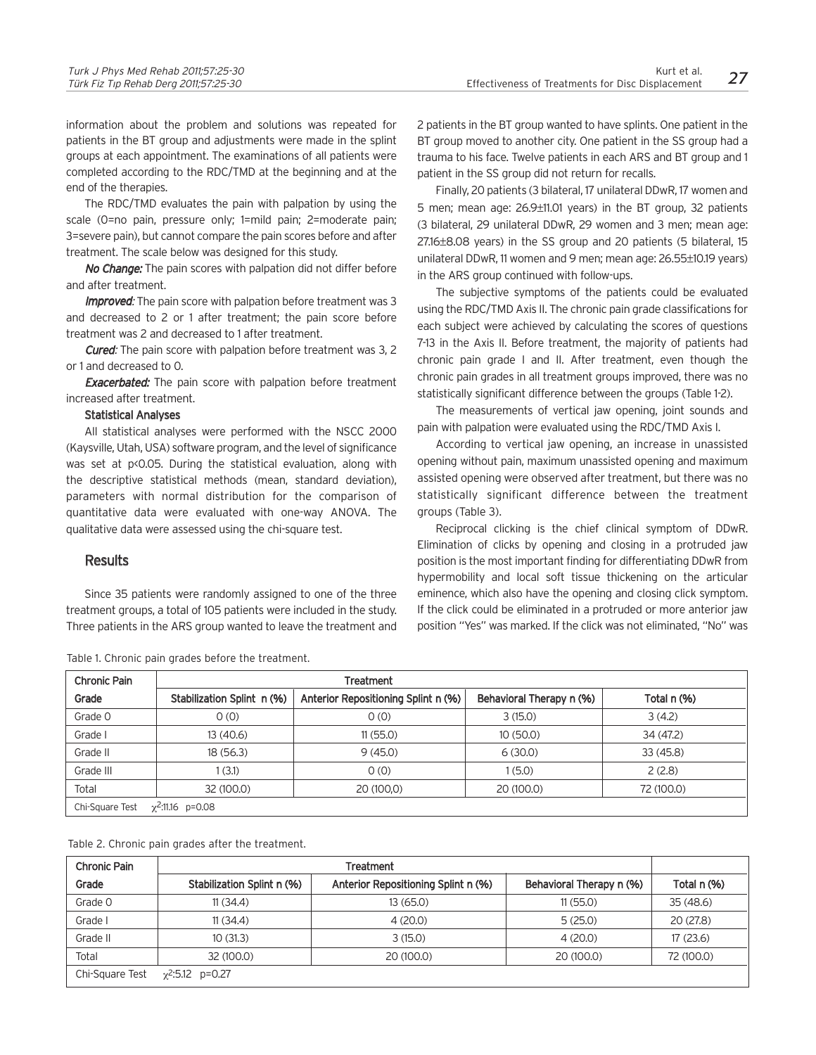information about the problem and solutions was repeated for patients in the BT group and adjustments were made in the splint groups at each appointment. The examinations of all patients were completed according to the RDC/TMD at the beginning and at the end of the therapies.

The RDC/TMD evaluates the pain with palpation by using the scale (0=no pain, pressure only; 1=mild pain; 2=moderate pain; 3=severe pain), but cannot compare the pain scores before and after treatment. The scale below was designed for this study.

No Change: The pain scores with palpation did not differ before and after treatment.

**Improved:** The pain score with palpation before treatment was 3 and decreased to 2 or 1 after treatment; the pain score before treatment was 2 and decreased to 1 after treatment.

**Cured:** The pain score with palpation before treatment was 3, 2 or 1 and decreased to 0.

**Exacerbated:** The pain score with palpation before treatment increased after treatment.

## Statistical Analyses

All statistical analyses were performed with the NSCC 2000 (Kaysville, Utah, USA) software program, and the level of significance was set at p<0.05. During the statistical evaluation, along with the descriptive statistical methods (mean, standard deviation), parameters with normal distribution for the comparison of quantitative data were evaluated with one-way ANOVA. The qualitative data were assessed using the chi-square test.

## **Results**

Since 35 patients were randomly assigned to one of the three treatment groups, a total of 105 patients were included in the study. Three patients in the ARS group wanted to leave the treatment and 2 patients in the BT group wanted to have splints. One patient in the BT group moved to another city. One patient in the SS group had a trauma to his face. Twelve patients in each ARS and BT group and 1 patient in the SS group did not return for recalls.

Finally, 20 patients (3 bilateral, 17 unilateral DDwR, 17 women and 5 men; mean age: 26.9±11.01 years) in the BT group, 32 patients (3 bilateral, 29 unilateral DDwR, 29 women and 3 men; mean age: 27.16±8.08 years) in the SS group and 20 patients (5 bilateral, 15 unilateral DDwR, 11 women and 9 men; mean age: 26.55±10.19 years) in the ARS group continued with follow-ups.

The subjective symptoms of the patients could be evaluated using the RDC/TMD Axis II. The chronic pain grade classifications for each subject were achieved by calculating the scores of questions 7-13 in the Axis II. Before treatment, the majority of patients had chronic pain grade I and II. After treatment, even though the chronic pain grades in all treatment groups improved, there was no statistically significant difference between the groups (Table 1-2).

The measurements of vertical jaw opening, joint sounds and pain with palpation were evaluated using the RDC/TMD Axis I.

According to vertical jaw opening, an increase in unassisted opening without pain, maximum unassisted opening and maximum assisted opening were observed after treatment, but there was no statistically significant difference between the treatment groups (Table 3).

Reciprocal clicking is the chief clinical symptom of DDwR. Elimination of clicks by opening and closing in a protruded jaw position is the most important finding for differentiating DDwR from hypermobility and local soft tissue thickening on the articular eminence, which also have the opening and closing click symptom. If the click could be eliminated in a protruded or more anterior jaw position "Yes" was marked. If the click was not eliminated, "No" was

| <b>Chronic Pain</b> |                            | Treatment                           |                          |             |  |  |  |  |  |
|---------------------|----------------------------|-------------------------------------|--------------------------|-------------|--|--|--|--|--|
| Grade               | Stabilization Splint n (%) | Anterior Repositioning Splint n (%) | Behavioral Therapy n (%) | Total n (%) |  |  |  |  |  |
| Grade O             | 0(0)                       | 0(0)                                | 3(15.0)                  | 3(4.2)      |  |  |  |  |  |
| Grade I             | 13(40.6)                   | 11(55.0)                            | 10(50.0)                 | 34 (47.2)   |  |  |  |  |  |
| Grade II            | 18(56.3)                   | 9(45.0)                             | 6(30.0)                  | 33(45.8)    |  |  |  |  |  |
| Grade III           | (3.1)                      | 0(0)                                | 1(5.0)                   | 2(2.8)      |  |  |  |  |  |
| Total               | 32 (100.0)                 | 20 (100,0)                          | 20 (100.0)               | 72 (100.0)  |  |  |  |  |  |
| Chi-Square Test     | $\chi^2$ :11.16 p=0.08     |                                     |                          |             |  |  |  |  |  |

Table 1. Chronic pain grades before the treatment.

Table 2. Chronic pain grades after the treatment.

| <b>Chronic Pain</b> |                            |                                     |                          |             |
|---------------------|----------------------------|-------------------------------------|--------------------------|-------------|
| Grade               | Stabilization Splint n (%) | Anterior Repositioning Splint n (%) | Behavioral Therapy n (%) | Total n (%) |
| Grade O             | 11(34.4)                   | 13(65.0)                            | 11(55.0)                 | 35(48.6)    |
| Grade I             | 11(34.4)                   | 4(20.0)                             | 5(25.0)                  | 20(27.8)    |
| Grade II            | 10(31.3)                   | 3(15.0)                             | 4(20.0)                  | 17(23.6)    |
| Total               | 32 (100.0)                 | 20 (100.0)                          | 20 (100.0)               | 72 (100.0)  |
| Chi-Square Test     | $\chi^2$ :5.12 p=0.27      |                                     |                          |             |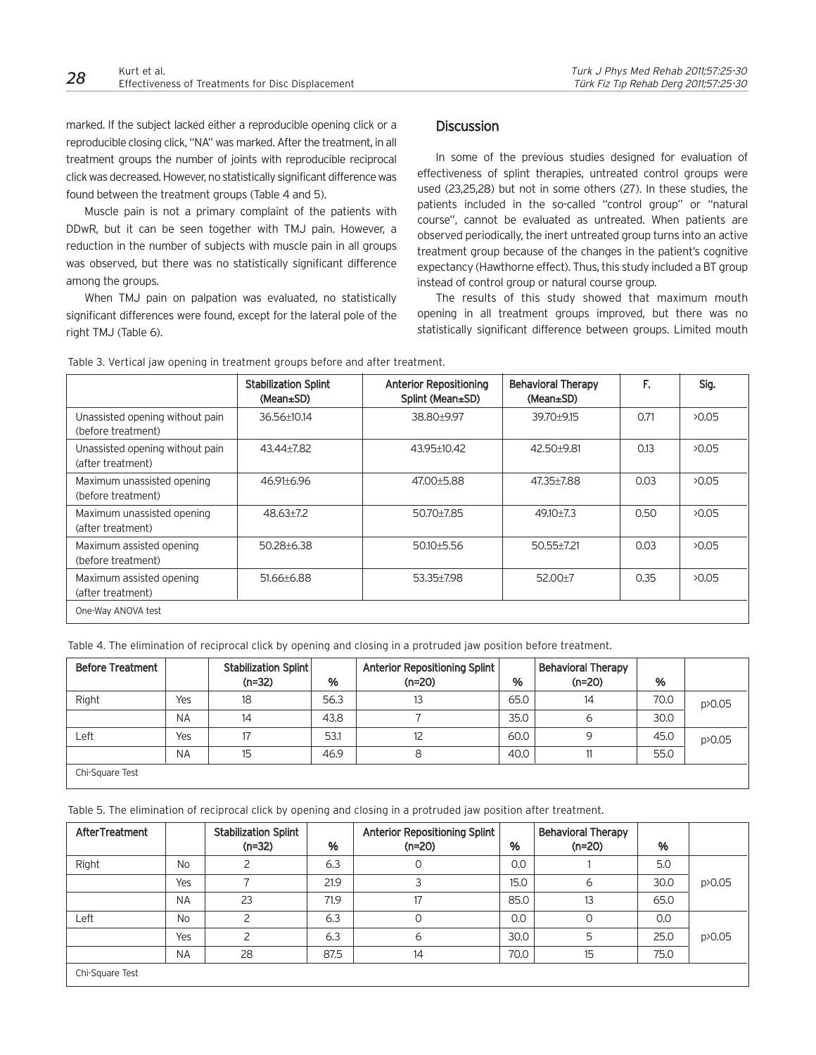marked. If the subject lacked either a reproducible opening click or a reproducible closing click, "NA" was marked. After the treatment, in all treatment groups the number of joints with reproducible reciprocal click was decreased. However, no statistically significant difference was found between the treatment groups (Table 4 and 5).

Muscle pain is not a primary complaint of the patients with DDwR, but it can be seen together with TMJ pain. However, a reduction in the number of subjects with muscle pain in all groups was observed, but there was no statistically significant difference among the groups.

When TMJ pain on palpation was evaluated, no statistically significant differences were found, except for the lateral pole of the right TMJ (Table 6).

# **Discussion**

In some of the previous studies designed for evaluation of effectiveness of splint therapies, untreated control groups were used (23,25,28) but not in some others (27). In these studies, the patients included in the so-called "control group" or "natural course", cannot be evaluated as untreated. When patients are observed periodically, the inert untreated group turns into an active treatment group because of the changes in the patient's cognitive expectancy (Hawthorne effect). Thus, this study included a BT group instead of control group or natural course group.

The results of this study showed that maximum mouth opening in all treatment groups improved, but there was no statistically significant difference between groups. Limited mouth

|                                                       | <b>Stabilization Splint</b><br>(Mean±SD) | <b>Anterior Repositioning</b><br>Splint (Mean±SD) | <b>Behavioral Therapy</b><br>(Mean±SD) | F.   | Sig.  |
|-------------------------------------------------------|------------------------------------------|---------------------------------------------------|----------------------------------------|------|-------|
| Unassisted opening without pain<br>(before treatment) | 36.56±10.14                              | 38.80±9.97                                        | 39.70+9.15                             | 0.71 | 20.05 |
| Unassisted opening without pain<br>(after treatment)  | 43.44+7.82                               | 43.95±10.42                                       | 42.50+9.81                             | 0.13 | 20.05 |
| Maximum unassisted opening<br>(before treatment)      | 46.91±6.96                               | 47.00±5.88                                        | 47.35±7.88                             | 0.03 | 20.05 |
| Maximum unassisted opening<br>(after treatment)       | $48.63 + 7.2$                            | 50.70+7.85                                        | $49.10+7.3$                            | 0.50 | 20.05 |
| Maximum assisted opening<br>(before treatment)        | $50.28 + 6.38$                           | 50.10±5.56                                        | $50.55 \pm 7.21$                       | 0.03 | 20.05 |
| Maximum assisted opening<br>(after treatment)         | 51.66±6.88                               | 53.35+7.98                                        | $52.00+7$                              | 0.35 | 20.05 |
| One-Way ANOVA test                                    |                                          |                                                   |                                        |      |       |

Table 3. Vertical jaw opening in treatment groups before and after treatment.

Table 4. The elimination of reciprocal click by opening and closing in a protruded jaw position before treatment.

| <b>Before Treatment</b> |           | Stabilization Splint<br>$(n=32)$ | %    | Anterior Repositioning Splint<br>$(n=20)$ | %    | <b>Behavioral Therapy</b><br>$(n=20)$ | %    |        |
|-------------------------|-----------|----------------------------------|------|-------------------------------------------|------|---------------------------------------|------|--------|
| Right                   | Yes       | 18                               | 56.3 | 13                                        | 65.0 | 14                                    | 70.0 | p>0.05 |
|                         | <b>NA</b> | 14                               | 43.8 |                                           | 35.0 | ь                                     | 30.0 |        |
| Left                    | Yes       | 17                               | 53.1 | 12                                        | 60.0 | 9                                     | 45.0 | p>0.05 |
|                         | <b>NA</b> | 15                               | 46.9 | 8                                         | 40.0 |                                       | 55.0 |        |
| Chi-Square Test         |           |                                  |      |                                           |      |                                       |      |        |

Table 5. The elimination of reciprocal click by opening and closing in a protruded jaw position after treatment.

| <b>AfterTreatment</b> |           | <b>Stabilization Splint</b><br>$(n=32)$ | %    | Anterior Repositioning Splint<br>$(n=20)$ | %    | <b>Behavioral Therapy</b><br>$(n=20)$ | %    |        |
|-----------------------|-----------|-----------------------------------------|------|-------------------------------------------|------|---------------------------------------|------|--------|
| Right                 | <b>No</b> |                                         | 6.3  | 0                                         | 0.0  |                                       | 5.0  |        |
|                       | Yes       |                                         | 21.9 | 3                                         | 15.0 | 6                                     | 30.0 | p>0.05 |
|                       | <b>NA</b> | 23                                      | 71.9 | 17                                        | 85.0 | 13                                    | 65.0 |        |
| Left                  | <b>No</b> |                                         | 6.3  | 0                                         | 0.0  |                                       | 0.0  |        |
|                       | Yes       |                                         | 6.3  | 6                                         | 30.0 | 5                                     | 25.0 | p>0.05 |
|                       | <b>NA</b> | 28                                      | 87.5 | 14                                        | 70.0 | 15                                    | 75.0 |        |
| Chi-Square Test       |           |                                         |      |                                           |      |                                       |      |        |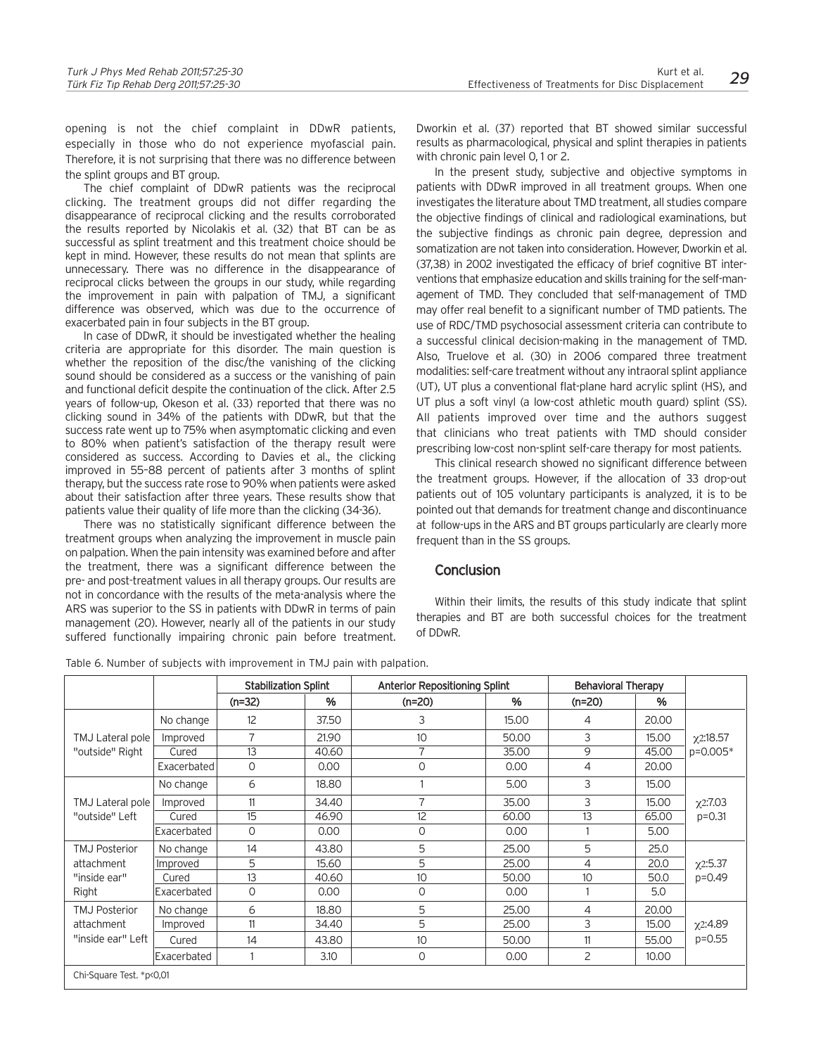opening is not the chief complaint in DDwR patients, especially in those who do not experience myofascial pain. Therefore, it is not surprising that there was no difference between the splint groups and BT group.

The chief complaint of DDwR patients was the reciprocal clicking. The treatment groups did not differ regarding the disappearance of reciprocal clicking and the results corroborated the results reported by Nicolakis et al. (32) that BT can be as successful as splint treatment and this treatment choice should be kept in mind. However, these results do not mean that splints are unnecessary. There was no difference in the disappearance of reciprocal clicks between the groups in our study, while regarding the improvement in pain with palpation of TMJ, a significant difference was observed, which was due to the occurrence of exacerbated pain in four subjects in the BT group.

In case of DDwR, it should be investigated whether the healing criteria are appropriate for this disorder. The main question is whether the reposition of the disc/the vanishing of the clicking sound should be considered as a success or the vanishing of pain and functional deficit despite the continuation of the click. After 2.5 years of follow-up, Okeson et al. (33) reported that there was no clicking sound in 34% of the patients with DDwR, but that the success rate went up to 75% when asymptomatic clicking and even to 80% when patient's satisfaction of the therapy result were considered as success. According to Davies et al., the clicking improved in 55–88 percent of patients after 3 months of splint therapy, but the success rate rose to 90% when patients were asked about their satisfaction after three years. These results show that patients value their quality of life more than the clicking (34-36).

There was no statistically significant difference between the treatment groups when analyzing the improvement in muscle pain on palpation. When the pain intensity was examined before and after the treatment, there was a significant difference between the pre- and post-treatment values in all therapy groups. Our results are not in concordance with the results of the meta-analysis where the ARS was superior to the SS in patients with DDwR in terms of pain management (20). However, nearly all of the patients in our study suffered functionally impairing chronic pain before treatment.

Dworkin et al. (37) reported that BT showed similar successful results as pharmacological, physical and splint therapies in patients with chronic pain level 0, 1 or 2.

In the present study, subjective and objective symptoms in patients with DDwR improved in all treatment groups. When one investigates the literature about TMD treatment, all studies compare the objective findings of clinical and radiological examinations, but the subjective findings as chronic pain degree, depression and somatization are not taken into consideration. However, Dworkin et al. (37,38) in 2002 investigated the efficacy of brief cognitive BT interventions that emphasize education and skills training for the self-management of TMD. They concluded that self-management of TMD may offer real benefit to a significant number of TMD patients. The use of RDC/TMD psychosocial assessment criteria can contribute to a successful clinical decision-making in the management of TMD. Also, Truelove et al. (30) in 2006 compared three treatment modalities: self-care treatment without any intraoral splint appliance (UT), UT plus a conventional flat-plane hard acrylic splint (HS), and UT plus a soft vinyl (a low-cost athletic mouth guard) splint (SS). All patients improved over time and the authors suggest that clinicians who treat patients with TMD should consider prescribing low-cost non-splint self-care therapy for most patients.

This clinical research showed no significant difference between the treatment groups. However, if the allocation of 33 drop-out patients out of 105 voluntary participants is analyzed, it is to be pointed out that demands for treatment change and discontinuance at follow-ups in the ARS and BT groups particularly are clearly more frequent than in the SS groups.

# **Conclusion**

Within their limits, the results of this study indicate that splint therapies and BT are both successful choices for the treatment of DDwR.

|  |  |  | Table 6. Number of subjects with improvement in TMJ pain with palpation. |
|--|--|--|--------------------------------------------------------------------------|
|--|--|--|--------------------------------------------------------------------------|

|                                                         |             | <b>Stabilization Splint</b> |       |                |       | <b>Anterior Repositioning Splint</b> |       | <b>Behavioral Therapy</b> |  |  |
|---------------------------------------------------------|-------------|-----------------------------|-------|----------------|-------|--------------------------------------|-------|---------------------------|--|--|
|                                                         |             | $(n=32)$                    | %     | $(n=20)$       | %     | $(n=20)$                             | %     |                           |  |  |
|                                                         | No change   | 12                          | 37.50 | 3              | 15.00 | 4                                    | 20.00 | x2:18.57                  |  |  |
| TMJ Lateral pole                                        | Improved    | $\overline{7}$              | 21.90 | 10             | 50.00 | 3                                    | 15.00 |                           |  |  |
| "outside" Right                                         | Cured       | 13                          | 40.60 | 7              | 35.00 | 9                                    | 45.00 | p=0.005*                  |  |  |
|                                                         | Exacerbated | $\circ$                     | 0.00  | $\Omega$       | 0.00  | 4                                    | 20.00 |                           |  |  |
|                                                         | No change   | 6                           | 18.80 |                | 5.00  | 3                                    | 15.00 |                           |  |  |
| TMJ Lateral pole                                        | Improved    | 11                          | 34.40 | $\overline{7}$ | 35.00 | 3                                    | 15.00 | $\chi$ 2:7.03             |  |  |
| "outside" Left                                          | Cured       | 15                          | 46.90 | 12             | 60.00 | 13                                   | 65.00 | $p = 0.31$                |  |  |
|                                                         | Exacerbated | 0                           | 0.00  | $\circ$        | 0.00  |                                      | 5.00  |                           |  |  |
| <b>TMJ Posterior</b>                                    | No change   | 14                          | 43.80 | 5              | 25.00 | 5                                    | 25.0  |                           |  |  |
| attachment                                              | Improved    | 5                           | 15.60 | 5              | 25.00 | 4                                    | 20.0  | $\chi$ 2:5.37             |  |  |
| "inside ear"                                            | Cured       | 13                          | 40.60 | 10             | 50.00 | 10                                   | 50.0  | $p = 0.49$                |  |  |
| Right                                                   | Exacerbated | $\circ$                     | 0.00  | $\circ$        | 0.00  |                                      | 5.0   |                           |  |  |
| <b>TMJ Posterior</b><br>attachment<br>"inside ear" Left | No change   | 6                           | 18.80 | 5              | 25.00 | $\overline{4}$                       | 20.00 |                           |  |  |
|                                                         | Improved    | 11                          | 34.40 | 5              | 25.00 | 3                                    | 15.00 | $\chi$ 2:4.89             |  |  |
|                                                         | Cured       | 14                          | 43.80 | 10             | 50.00 | 11                                   | 55.00 | $p = 0.55$                |  |  |
|                                                         | Exacerbated | 1                           | 3.10  | 0              | 0.00  | $\overline{c}$                       | 10.00 |                           |  |  |
| Chi-Square Test. *p<0,01                                |             |                             |       |                |       |                                      |       |                           |  |  |